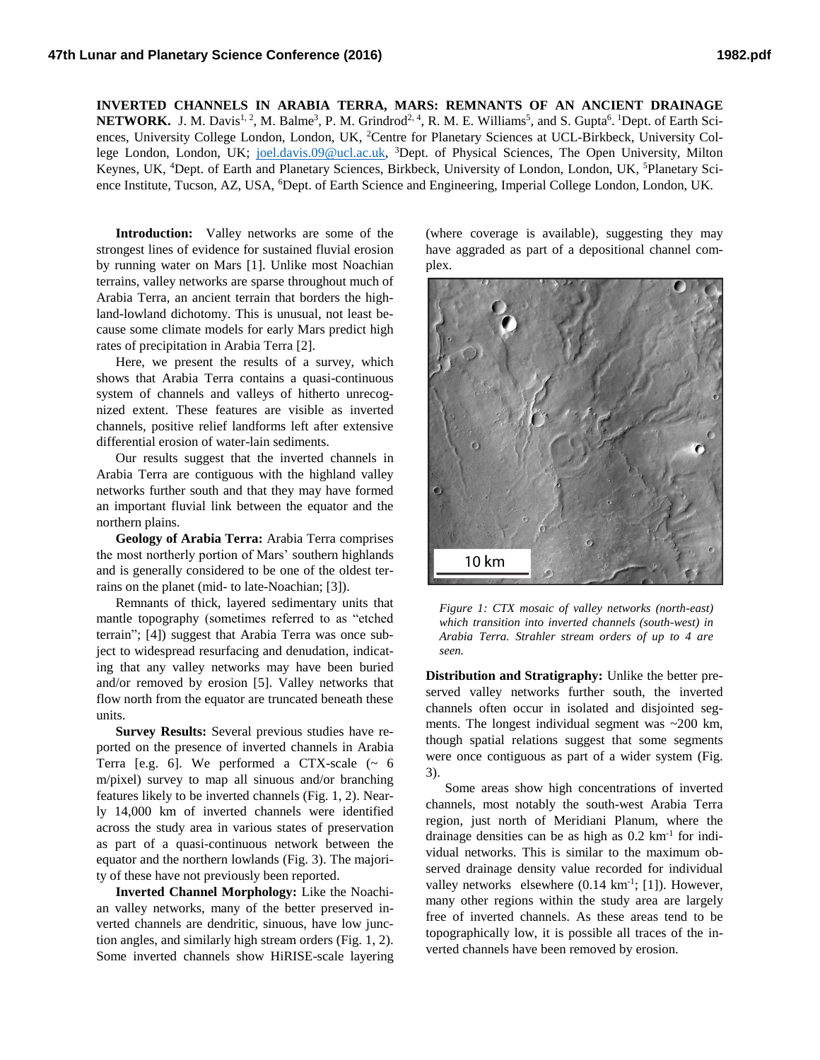**INVERTED CHANNELS IN ARABIA TERRA, MARS: REMNANTS OF AN ANCIENT DRAINAGE NETWORK.** J. M. Davis<sup>1, 2</sup>, M. Balme<sup>3</sup>, P. M. Grindrod<sup>2, 4</sup>, R. M. E. Williams<sup>5</sup>, and S. Gupta<sup>6</sup>. <sup>1</sup>Dept. of Earth Sciences, University College London, London, UK, <sup>2</sup>Centre for Planetary Sciences at UCL-Birkbeck, University College London, London, UK; <u>joel.davis.09@ucl.ac.uk</u>, <sup>3</sup>Dept. of Physical Sciences, The Open University, Milton Keynes, UK, <sup>4</sup>Dept. of Earth and Planetary Sciences, Birkbeck, University of London, London, UK, <sup>5</sup>Planetary Science Institute, Tucson, AZ, USA, <sup>6</sup>Dept. of Earth Science and Engineering, Imperial College London, London, UK.

**Introduction:** Valley networks are some of the strongest lines of evidence for sustained fluvial erosion by running water on Mars [1]. Unlike most Noachian terrains, valley networks are sparse throughout much of Arabia Terra, an ancient terrain that borders the highland-lowland dichotomy. This is unusual, not least because some climate models for early Mars predict high rates of precipitation in Arabia Terra [2].

Here, we present the results of a survey, which shows that Arabia Terra contains a quasi-continuous system of channels and valleys of hitherto unrecognized extent. These features are visible as inverted channels, positive relief landforms left after extensive differential erosion of water-lain sediments.

Our results suggest that the inverted channels in Arabia Terra are contiguous with the highland valley networks further south and that they may have formed an important fluvial link between the equator and the northern plains.

**Geology of Arabia Terra:** Arabia Terra comprises the most northerly portion of Mars' southern highlands and is generally considered to be one of the oldest terrains on the planet (mid- to late-Noachian; [3]).

Remnants of thick, layered sedimentary units that mantle topography (sometimes referred to as "etched terrain"; [4]) suggest that Arabia Terra was once subject to widespread resurfacing and denudation, indicating that any valley networks may have been buried and/or removed by erosion [5]. Valley networks that flow north from the equator are truncated beneath these units.

**Survey Results:** Several previous studies have reported on the presence of inverted channels in Arabia Terra [e.g. 6]. We performed a CTX-scale  $($   $\sim$  6 m/pixel) survey to map all sinuous and/or branching features likely to be inverted channels (Fig. 1, 2). Nearly 14,000 km of inverted channels were identified across the study area in various states of preservation as part of a quasi-continuous network between the equator and the northern lowlands (Fig. 3). The majority of these have not previously been reported.

**Inverted Channel Morphology:** Like the Noachian valley networks, many of the better preserved inverted channels are dendritic, sinuous, have low junction angles, and similarly high stream orders (Fig. 1, 2). Some inverted channels show HiRISE-scale layering

(where coverage is available), suggesting they may have aggraded as part of a depositional channel complex.



*Figure 1: CTX mosaic of valley networks (north-east) which transition into inverted channels (south-west) in Arabia Terra. Strahler stream orders of up to 4 are seen.*

**Distribution and Stratigraphy:** Unlike the better preserved valley networks further south, the inverted channels often occur in isolated and disjointed segments. The longest individual segment was ~200 km, though spatial relations suggest that some segments were once contiguous as part of a wider system (Fig. 3).

Some areas show high concentrations of inverted channels, most notably the south-west Arabia Terra region, just north of Meridiani Planum, where the drainage densities can be as high as 0.2 km-1 for individual networks. This is similar to the maximum observed drainage density value recorded for individual valley networks elsewhere  $(0.14 \text{ km}^{-1}; [1])$ . However, many other regions within the study area are largely free of inverted channels. As these areas tend to be topographically low, it is possible all traces of the inverted channels have been removed by erosion.